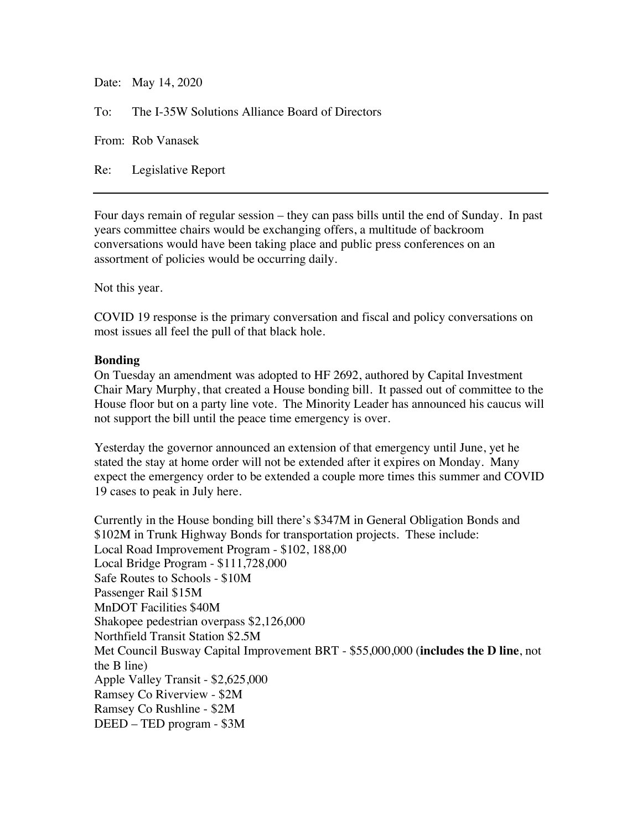Date: May 14, 2020

To: The I-35W Solutions Alliance Board of Directors

From: Rob Vanasek

Re: Legislative Report

Four days remain of regular session – they can pass bills until the end of Sunday. In past years committee chairs would be exchanging offers, a multitude of backroom conversations would have been taking place and public press conferences on an assortment of policies would be occurring daily.

Not this year.

COVID 19 response is the primary conversation and fiscal and policy conversations on most issues all feel the pull of that black hole.

## **Bonding**

On Tuesday an amendment was adopted to HF 2692, authored by Capital Investment Chair Mary Murphy, that created a House bonding bill. It passed out of committee to the House floor but on a party line vote. The Minority Leader has announced his caucus will not support the bill until the peace time emergency is over.

Yesterday the governor announced an extension of that emergency until June, yet he stated the stay at home order will not be extended after it expires on Monday. Many expect the emergency order to be extended a couple more times this summer and COVID 19 cases to peak in July here.

Currently in the House bonding bill there's \$347M in General Obligation Bonds and \$102M in Trunk Highway Bonds for transportation projects. These include: Local Road Improvement Program - \$102, 188,00 Local Bridge Program - \$111,728,000 Safe Routes to Schools - \$10M Passenger Rail \$15M MnDOT Facilities \$40M Shakopee pedestrian overpass \$2,126,000 Northfield Transit Station \$2.5M Met Council Busway Capital Improvement BRT - \$55,000,000 (**includes the D line**, not the B line) Apple Valley Transit - \$2,625,000 Ramsey Co Riverview - \$2M Ramsey Co Rushline - \$2M DEED – TED program - \$3M